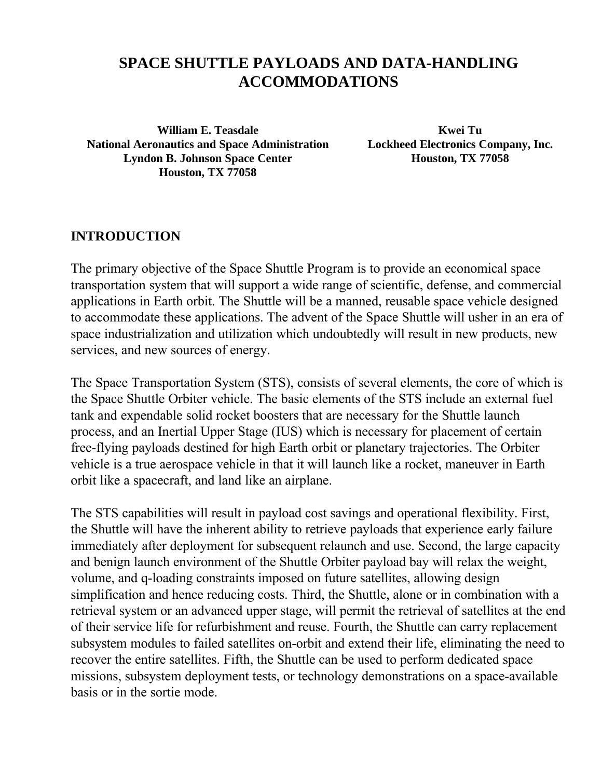# **SPACE SHUTTLE PAYLOADS AND DATA-HANDLING ACCOMMODATIONS**

**William E. Teasdale Kwei Tu National Aeronautics and Space Administration Lockheed Electronics Company, Inc. Lyndon B. Johnson Space Center Houston, TX 77058 Houston, TX 77058**

#### **INTRODUCTION**

The primary objective of the Space Shuttle Program is to provide an economical space transportation system that will support a wide range of scientific, defense, and commercial applications in Earth orbit. The Shuttle will be a manned, reusable space vehicle designed to accommodate these applications. The advent of the Space Shuttle will usher in an era of space industrialization and utilization which undoubtedly will result in new products, new services, and new sources of energy.

The Space Transportation System (STS), consists of several elements, the core of which is the Space Shuttle Orbiter vehicle. The basic elements of the STS include an external fuel tank and expendable solid rocket boosters that are necessary for the Shuttle launch process, and an Inertial Upper Stage (IUS) which is necessary for placement of certain free-flying payloads destined for high Earth orbit or planetary trajectories. The Orbiter vehicle is a true aerospace vehicle in that it will launch like a rocket, maneuver in Earth orbit like a spacecraft, and land like an airplane.

The STS capabilities will result in payload cost savings and operational flexibility. First, the Shuttle will have the inherent ability to retrieve payloads that experience early failure immediately after deployment for subsequent relaunch and use. Second, the large capacity and benign launch environment of the Shuttle Orbiter payload bay will relax the weight, volume, and q-loading constraints imposed on future satellites, allowing design simplification and hence reducing costs. Third, the Shuttle, alone or in combination with a retrieval system or an advanced upper stage, will permit the retrieval of satellites at the end of their service life for refurbishment and reuse. Fourth, the Shuttle can carry replacement subsystem modules to failed satellites on-orbit and extend their life, eliminating the need to recover the entire satellites. Fifth, the Shuttle can be used to perform dedicated space missions, subsystem deployment tests, or technology demonstrations on a space-available basis or in the sortie mode.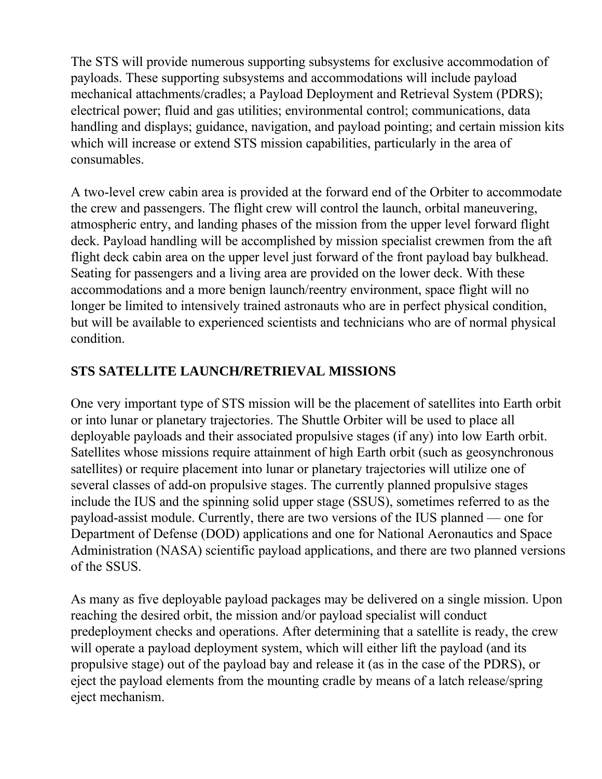The STS will provide numerous supporting subsystems for exclusive accommodation of payloads. These supporting subsystems and accommodations will include payload mechanical attachments/cradles; a Payload Deployment and Retrieval System (PDRS); electrical power; fluid and gas utilities; environmental control; communications, data handling and displays; guidance, navigation, and payload pointing; and certain mission kits which will increase or extend STS mission capabilities, particularly in the area of consumables.

A two-level crew cabin area is provided at the forward end of the Orbiter to accommodate the crew and passengers. The flight crew will control the launch, orbital maneuvering, atmospheric entry, and landing phases of the mission from the upper level forward flight deck. Payload handling will be accomplished by mission specialist crewmen from the aft flight deck cabin area on the upper level just forward of the front payload bay bulkhead. Seating for passengers and a living area are provided on the lower deck. With these accommodations and a more benign launch/reentry environment, space flight will no longer be limited to intensively trained astronauts who are in perfect physical condition, but will be available to experienced scientists and technicians who are of normal physical condition.

### **STS SATELLITE LAUNCH/RETRIEVAL MISSIONS**

One very important type of STS mission will be the placement of satellites into Earth orbit or into lunar or planetary trajectories. The Shuttle Orbiter will be used to place all deployable payloads and their associated propulsive stages (if any) into low Earth orbit. Satellites whose missions require attainment of high Earth orbit (such as geosynchronous satellites) or require placement into lunar or planetary trajectories will utilize one of several classes of add-on propulsive stages. The currently planned propulsive stages include the IUS and the spinning solid upper stage (SSUS), sometimes referred to as the payload-assist module. Currently, there are two versions of the IUS planned — one for Department of Defense (DOD) applications and one for National Aeronautics and Space Administration (NASA) scientific payload applications, and there are two planned versions of the SSUS.

As many as five deployable payload packages may be delivered on a single mission. Upon reaching the desired orbit, the mission and/or payload specialist will conduct predeployment checks and operations. After determining that a satellite is ready, the crew will operate a payload deployment system, which will either lift the payload (and its propulsive stage) out of the payload bay and release it (as in the case of the PDRS), or eject the payload elements from the mounting cradle by means of a latch release/spring eject mechanism.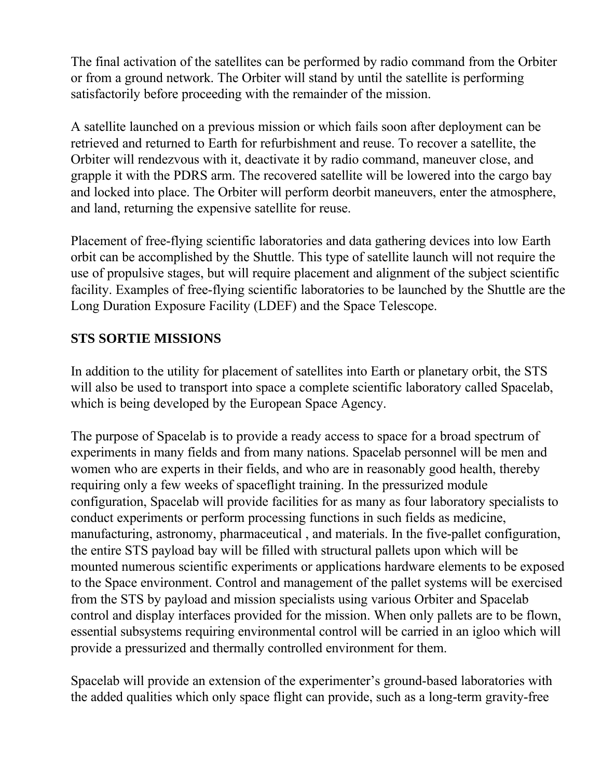The final activation of the satellites can be performed by radio command from the Orbiter or from a ground network. The Orbiter will stand by until the satellite is performing satisfactorily before proceeding with the remainder of the mission.

A satellite launched on a previous mission or which fails soon after deployment can be retrieved and returned to Earth for refurbishment and reuse. To recover a satellite, the Orbiter will rendezvous with it, deactivate it by radio command, maneuver close, and grapple it with the PDRS arm. The recovered satellite will be lowered into the cargo bay and locked into place. The Orbiter will perform deorbit maneuvers, enter the atmosphere, and land, returning the expensive satellite for reuse.

Placement of free-flying scientific laboratories and data gathering devices into low Earth orbit can be accomplished by the Shuttle. This type of satellite launch will not require the use of propulsive stages, but will require placement and alignment of the subject scientific facility. Examples of free-flying scientific laboratories to be launched by the Shuttle are the Long Duration Exposure Facility (LDEF) and the Space Telescope.

#### **STS SORTIE MISSIONS**

In addition to the utility for placement of satellites into Earth or planetary orbit, the STS will also be used to transport into space a complete scientific laboratory called Spacelab, which is being developed by the European Space Agency.

The purpose of Spacelab is to provide a ready access to space for a broad spectrum of experiments in many fields and from many nations. Spacelab personnel will be men and women who are experts in their fields, and who are in reasonably good health, thereby requiring only a few weeks of spaceflight training. In the pressurized module configuration, Spacelab will provide facilities for as many as four laboratory specialists to conduct experiments or perform processing functions in such fields as medicine, manufacturing, astronomy, pharmaceutical , and materials. In the five-pallet configuration, the entire STS payload bay will be filled with structural pallets upon which will be mounted numerous scientific experiments or applications hardware elements to be exposed to the Space environment. Control and management of the pallet systems will be exercised from the STS by payload and mission specialists using various Orbiter and Spacelab control and display interfaces provided for the mission. When only pallets are to be flown, essential subsystems requiring environmental control will be carried in an igloo which will provide a pressurized and thermally controlled environment for them.

Spacelab will provide an extension of the experimenter's ground-based laboratories with the added qualities which only space flight can provide, such as a long-term gravity-free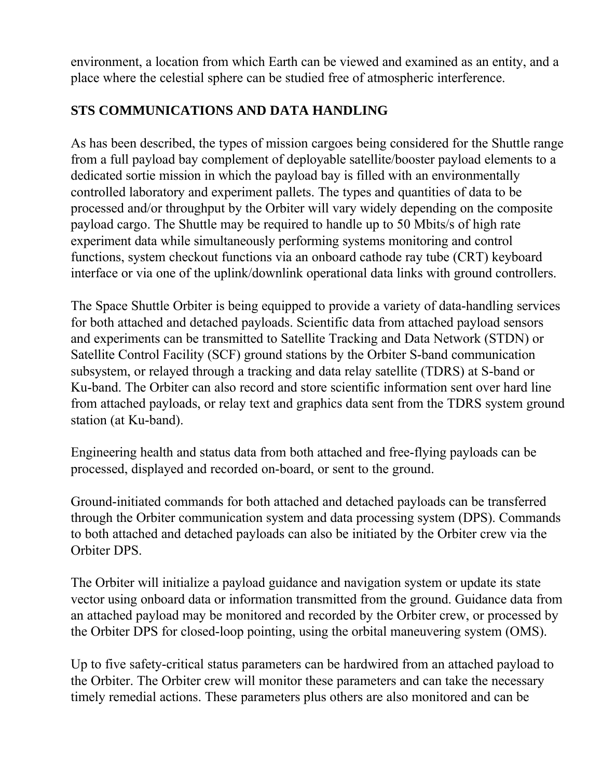environment, a location from which Earth can be viewed and examined as an entity, and a place where the celestial sphere can be studied free of atmospheric interference.

# **STS COMMUNICATIONS AND DATA HANDLING**

As has been described, the types of mission cargoes being considered for the Shuttle range from a full payload bay complement of deployable satellite/booster payload elements to a dedicated sortie mission in which the payload bay is filled with an environmentally controlled laboratory and experiment pallets. The types and quantities of data to be processed and/or throughput by the Orbiter will vary widely depending on the composite payload cargo. The Shuttle may be required to handle up to 50 Mbits/s of high rate experiment data while simultaneously performing systems monitoring and control functions, system checkout functions via an onboard cathode ray tube (CRT) keyboard interface or via one of the uplink/downlink operational data links with ground controllers.

The Space Shuttle Orbiter is being equipped to provide a variety of data-handling services for both attached and detached payloads. Scientific data from attached payload sensors and experiments can be transmitted to Satellite Tracking and Data Network (STDN) or Satellite Control Facility (SCF) ground stations by the Orbiter S-band communication subsystem, or relayed through a tracking and data relay satellite (TDRS) at S-band or Ku-band. The Orbiter can also record and store scientific information sent over hard line from attached payloads, or relay text and graphics data sent from the TDRS system ground station (at Ku-band).

Engineering health and status data from both attached and free-flying payloads can be processed, displayed and recorded on-board, or sent to the ground.

Ground-initiated commands for both attached and detached payloads can be transferred through the Orbiter communication system and data processing system (DPS). Commands to both attached and detached payloads can also be initiated by the Orbiter crew via the Orbiter DPS.

The Orbiter will initialize a payload guidance and navigation system or update its state vector using onboard data or information transmitted from the ground. Guidance data from an attached payload may be monitored and recorded by the Orbiter crew, or processed by the Orbiter DPS for closed-loop pointing, using the orbital maneuvering system (OMS).

Up to five safety-critical status parameters can be hardwired from an attached payload to the Orbiter. The Orbiter crew will monitor these parameters and can take the necessary timely remedial actions. These parameters plus others are also monitored and can be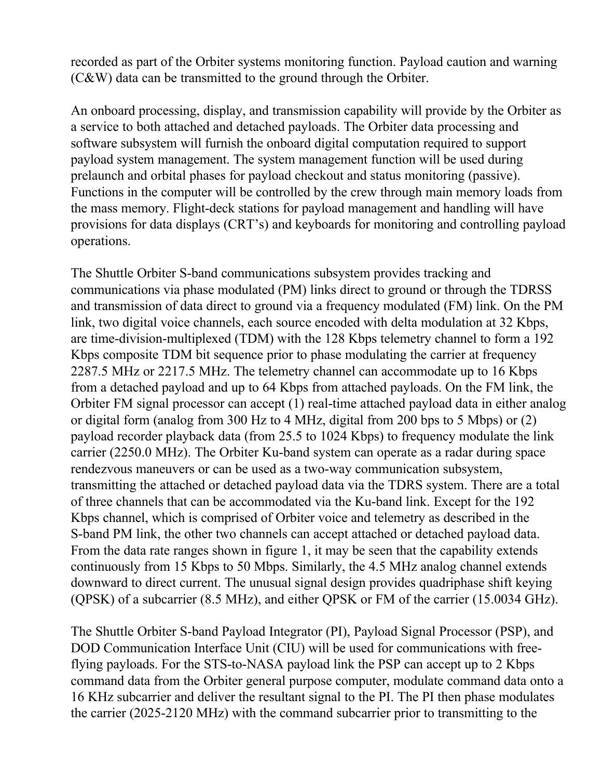recorded as part of the Orbiter systems monitoring function. Payload caution and warning (C&W) data can be transmitted to the ground through the Orbiter.

An onboard processing, display, and transmission capability will provide by the Orbiter as a service to both attached and detached payloads. The Orbiter data processing and software subsystem will furnish the onboard digital computation required to support payload system management. The system management function will be used during prelaunch and orbital phases for payload checkout and status monitoring (passive). Functions in the computer will be controlled by the crew through main memory loads from the mass memory. Flight-deck stations for payload management and handling will have provisions for data displays (CRT's) and keyboards for monitoring and controlling payload operations.

The Shuttle Orbiter S-band communications subsystem provides tracking and communications via phase modulated (PM) links direct to ground or through the TDRSS and transmission of data direct to ground via a frequency modulated (FM) link. On the PM link, two digital voice channels, each source encoded with delta modulation at 32 Kbps, are time-division-multiplexed (TDM) with the 128 Kbps telemetry channel to form a 192 Kbps composite TDM bit sequence prior to phase modulating the carrier at frequency 2287.5 MHz or 2217.5 MHz. The telemetry channel can accommodate up to 16 Kbps from a detached payload and up to 64 Kbps from attached payloads. On the FM link, the Orbiter FM signal processor can accept (1) real-time attached payload data in either analog or digital form (analog from 300 Hz to 4 MHz, digital from 200 bps to 5 Mbps) or (2) payload recorder playback data (from 25.5 to 1024 Kbps) to frequency modulate the link carrier (2250.0 MHz). The Orbiter Ku-band system can operate as a radar during space rendezvous maneuvers or can be used as a two-way communication subsystem, transmitting the attached or detached payload data via the TDRS system. There are a total of three channels that can be accommodated via the Ku-band link. Except for the 192 Kbps channel, which is comprised of Orbiter voice and telemetry as described in the S-band PM link, the other two channels can accept attached or detached payload data. From the data rate ranges shown in figure 1, it may be seen that the capability extends continuously from 15 Kbps to 50 Mbps. Similarly, the 4.5 MHz analog channel extends downward to direct current. The unusual signal design provides quadriphase shift keying (QPSK) of a subcarrier (8.5 MHz), and either QPSK or FM of the carrier (15.0034 GHz).

The Shuttle Orbiter S-band Payload Integrator (PI), Payload Signal Processor (PSP), and DOD Communication Interface Unit (CIU) will be used for communications with freeflying payloads. For the STS-to-NASA payload link the PSP can accept up to 2 Kbps command data from the Orbiter general purpose computer, modulate command data onto a 16 KHz subcarrier and deliver the resultant signal to the PI. The PI then phase modulates the carrier (2025-2120 MHz) with the command subcarrier prior to transmitting to the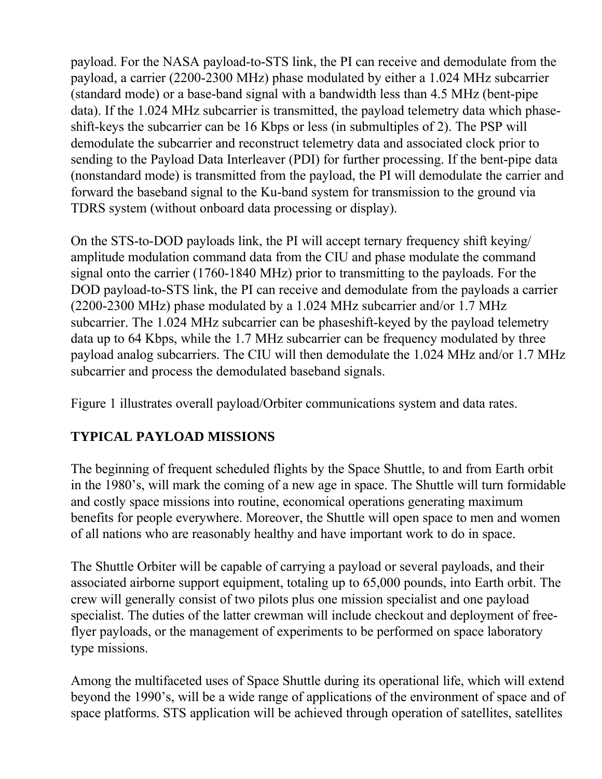payload. For the NASA payload-to-STS link, the PI can receive and demodulate from the payload, a carrier (2200-2300 MHz) phase modulated by either a 1.024 MHz subcarrier (standard mode) or a base-band signal with a bandwidth less than 4.5 MHz (bent-pipe data). If the 1.024 MHz subcarrier is transmitted, the payload telemetry data which phaseshift-keys the subcarrier can be 16 Kbps or less (in submultiples of 2). The PSP will demodulate the subcarrier and reconstruct telemetry data and associated clock prior to sending to the Payload Data Interleaver (PDI) for further processing. If the bent-pipe data (nonstandard mode) is transmitted from the payload, the PI will demodulate the carrier and forward the baseband signal to the Ku-band system for transmission to the ground via TDRS system (without onboard data processing or display).

On the STS-to-DOD payloads link, the PI will accept ternary frequency shift keying/ amplitude modulation command data from the CIU and phase modulate the command signal onto the carrier (1760-1840 MHz) prior to transmitting to the payloads. For the DOD payload-to-STS link, the PI can receive and demodulate from the payloads a carrier (2200-2300 MHz) phase modulated by a 1.024 MHz subcarrier and/or 1.7 MHz subcarrier. The 1.024 MHz subcarrier can be phaseshift-keyed by the payload telemetry data up to 64 Kbps, while the 1.7 MHz subcarrier can be frequency modulated by three payload analog subcarriers. The CIU will then demodulate the 1.024 MHz and/or 1.7 MHz subcarrier and process the demodulated baseband signals.

Figure 1 illustrates overall payload/Orbiter communications system and data rates.

## **TYPICAL PAYLOAD MISSIONS**

The beginning of frequent scheduled flights by the Space Shuttle, to and from Earth orbit in the 1980's, will mark the coming of a new age in space. The Shuttle will turn formidable and costly space missions into routine, economical operations generating maximum benefits for people everywhere. Moreover, the Shuttle will open space to men and women of all nations who are reasonably healthy and have important work to do in space.

The Shuttle Orbiter will be capable of carrying a payload or several payloads, and their associated airborne support equipment, totaling up to 65,000 pounds, into Earth orbit. The crew will generally consist of two pilots plus one mission specialist and one payload specialist. The duties of the latter crewman will include checkout and deployment of freeflyer payloads, or the management of experiments to be performed on space laboratory type missions.

Among the multifaceted uses of Space Shuttle during its operational life, which will extend beyond the 1990's, will be a wide range of applications of the environment of space and of space platforms. STS application will be achieved through operation of satellites, satellites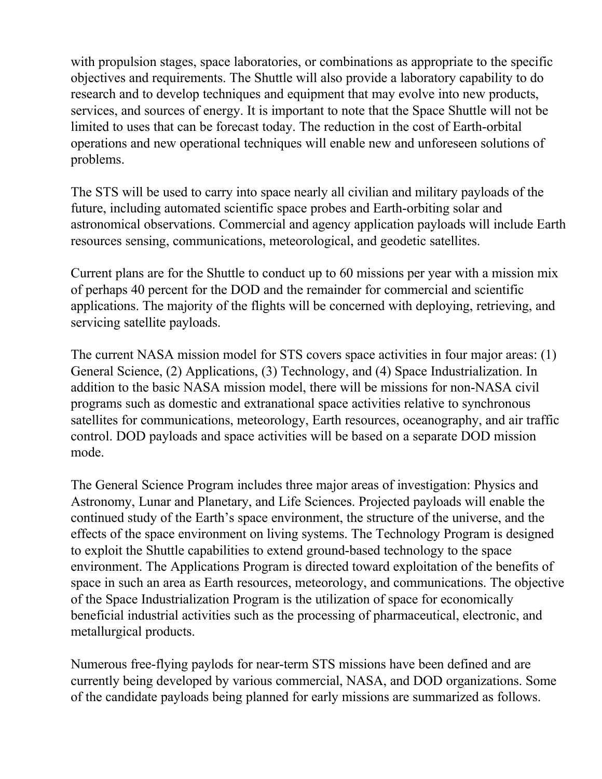with propulsion stages, space laboratories, or combinations as appropriate to the specific objectives and requirements. The Shuttle will also provide a laboratory capability to do research and to develop techniques and equipment that may evolve into new products, services, and sources of energy. It is important to note that the Space Shuttle will not be limited to uses that can be forecast today. The reduction in the cost of Earth-orbital operations and new operational techniques will enable new and unforeseen solutions of problems.

The STS will be used to carry into space nearly all civilian and military payloads of the future, including automated scientific space probes and Earth-orbiting solar and astronomical observations. Commercial and agency application payloads will include Earth resources sensing, communications, meteorological, and geodetic satellites.

Current plans are for the Shuttle to conduct up to 60 missions per year with a mission mix of perhaps 40 percent for the DOD and the remainder for commercial and scientific applications. The majority of the flights will be concerned with deploying, retrieving, and servicing satellite payloads.

The current NASA mission model for STS covers space activities in four major areas: (1) General Science, (2) Applications, (3) Technology, and (4) Space Industrialization. In addition to the basic NASA mission model, there will be missions for non-NASA civil programs such as domestic and extranational space activities relative to synchronous satellites for communications, meteorology, Earth resources, oceanography, and air traffic control. DOD payloads and space activities will be based on a separate DOD mission mode.

The General Science Program includes three major areas of investigation: Physics and Astronomy, Lunar and Planetary, and Life Sciences. Projected payloads will enable the continued study of the Earth's space environment, the structure of the universe, and the effects of the space environment on living systems. The Technology Program is designed to exploit the Shuttle capabilities to extend ground-based technology to the space environment. The Applications Program is directed toward exploitation of the benefits of space in such an area as Earth resources, meteorology, and communications. The objective of the Space Industrialization Program is the utilization of space for economically beneficial industrial activities such as the processing of pharmaceutical, electronic, and metallurgical products.

Numerous free-flying paylods for near-term STS missions have been defined and are currently being developed by various commercial, NASA, and DOD organizations. Some of the candidate payloads being planned for early missions are summarized as follows.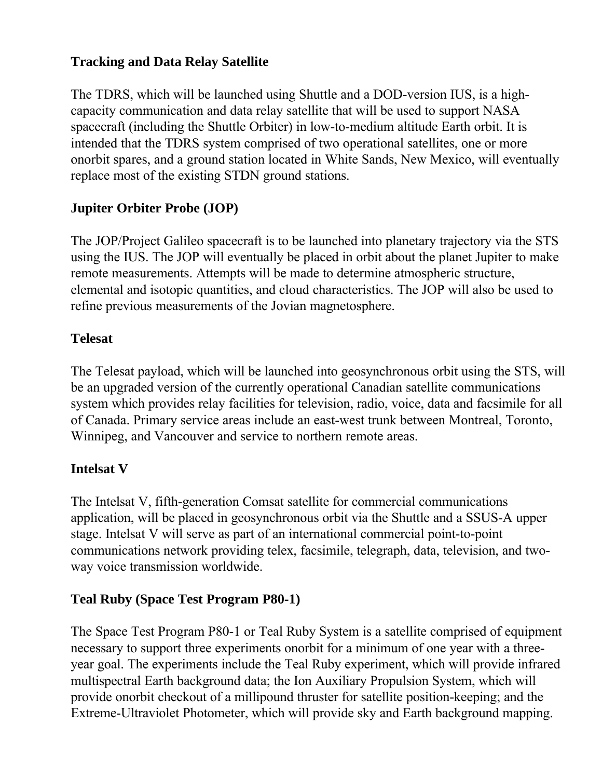# **Tracking and Data Relay Satellite**

The TDRS, which will be launched using Shuttle and a DOD-version IUS, is a highcapacity communication and data relay satellite that will be used to support NASA spacecraft (including the Shuttle Orbiter) in low-to-medium altitude Earth orbit. It is intended that the TDRS system comprised of two operational satellites, one or more onorbit spares, and a ground station located in White Sands, New Mexico, will eventually replace most of the existing STDN ground stations.

## **Jupiter Orbiter Probe (JOP)**

The JOP/Project Galileo spacecraft is to be launched into planetary trajectory via the STS using the IUS. The JOP will eventually be placed in orbit about the planet Jupiter to make remote measurements. Attempts will be made to determine atmospheric structure, elemental and isotopic quantities, and cloud characteristics. The JOP will also be used to refine previous measurements of the Jovian magnetosphere.

### **Telesat**

The Telesat payload, which will be launched into geosynchronous orbit using the STS, will be an upgraded version of the currently operational Canadian satellite communications system which provides relay facilities for television, radio, voice, data and facsimile for all of Canada. Primary service areas include an east-west trunk between Montreal, Toronto, Winnipeg, and Vancouver and service to northern remote areas.

### **Intelsat V**

The Intelsat V, fifth-generation Comsat satellite for commercial communications application, will be placed in geosynchronous orbit via the Shuttle and a SSUS-A upper stage. Intelsat V will serve as part of an international commercial point-to-point communications network providing telex, facsimile, telegraph, data, television, and twoway voice transmission worldwide.

### **Teal Ruby (Space Test Program P80-1)**

The Space Test Program P80-1 or Teal Ruby System is a satellite comprised of equipment necessary to support three experiments onorbit for a minimum of one year with a threeyear goal. The experiments include the Teal Ruby experiment, which will provide infrared multispectral Earth background data; the Ion Auxiliary Propulsion System, which will provide onorbit checkout of a millipound thruster for satellite position-keeping; and the Extreme-Ultraviolet Photometer, which will provide sky and Earth background mapping.